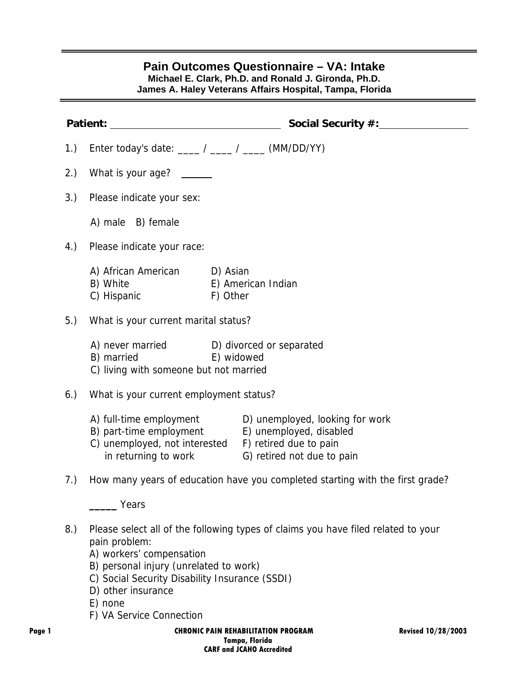## **Pain Outcomes Questionnaire – VA: Intake Michael E. Clark, Ph.D. and Ronald J. Gironda, Ph.D.**

**James A. Haley Veterans Affairs Hospital, Tampa, Florida** 

|        |     | Patient:<br><u> 1980 - Johann Barbara, martin a</u>                                                                                                                                                | Social Security #:                                                                                            |                           |
|--------|-----|----------------------------------------------------------------------------------------------------------------------------------------------------------------------------------------------------|---------------------------------------------------------------------------------------------------------------|---------------------------|
|        | 1.) | Enter today's date: ____ / ____ / ____ (MM/DD/YY)                                                                                                                                                  |                                                                                                               |                           |
|        | 2.) | What is your age? ______                                                                                                                                                                           |                                                                                                               |                           |
|        | 3.) | Please indicate your sex:                                                                                                                                                                          |                                                                                                               |                           |
|        |     | A) male B) female                                                                                                                                                                                  |                                                                                                               |                           |
|        | 4.) | Please indicate your race:                                                                                                                                                                         |                                                                                                               |                           |
|        |     | A) African American D) Asian<br>B) White<br>E) American Indian<br>C) Hispanic<br>F) Other                                                                                                          |                                                                                                               |                           |
|        | 5.) | What is your current marital status?                                                                                                                                                               |                                                                                                               |                           |
|        |     | A) never married D) divorced or separated<br>B) married<br>E) widowed<br>C) living with someone but not married                                                                                    |                                                                                                               |                           |
|        | 6.) | What is your current employment status?                                                                                                                                                            |                                                                                                               |                           |
|        |     | A) full-time employment<br>B) part-time employment<br>C) unemployed, not interested F) retired due to pain                                                                                         | D) unemployed, looking for work<br>E) unemployed, disabled<br>in returning to work G) retired not due to pain |                           |
|        | 7.) |                                                                                                                                                                                                    | How many years of education have you completed starting with the first grade?                                 |                           |
|        |     | Years                                                                                                                                                                                              |                                                                                                               |                           |
|        | 8.) | pain problem:<br>A) workers' compensation<br>B) personal injury (unrelated to work)<br>C) Social Security Disability Insurance (SSDI)<br>D) other insurance<br>E) none<br>F) VA Service Connection | Please select all of the following types of claims you have filed related to your                             |                           |
| Page 1 |     |                                                                                                                                                                                                    | <b>CHRONIC PAIN REHABILITATION PROGRAM</b>                                                                    | <b>Revised 10/28/2003</b> |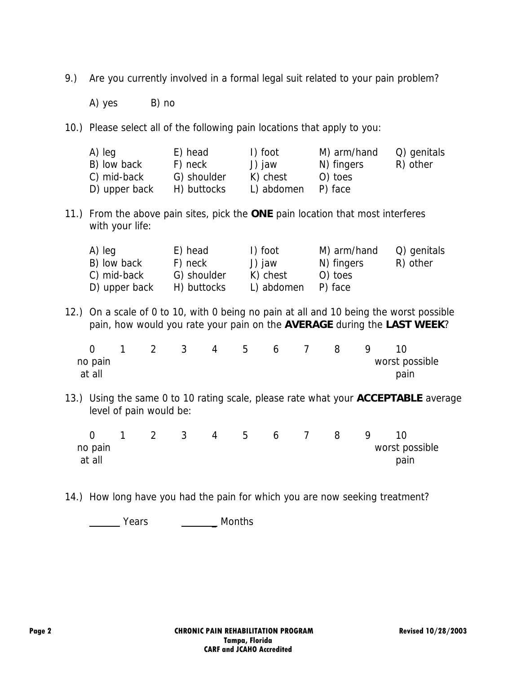- 9.) Are you currently involved in a formal legal suit related to your pain problem?
	- A) yes B) no
- 10.) Please select all of the following pain locations that apply to you:

| A) leg        | E) head     | I) foot    | M) arm/hand | Q) genitals |
|---------------|-------------|------------|-------------|-------------|
| B) low back   | F) neck     | J) jaw     | N) fingers  | R) other    |
| C) mid-back   | G) shoulder | K) chest   | O) toes     |             |
| D) upper back | H) buttocks | L) abdomen | P) face     |             |

11.) From the above pain sites, pick the **ONE** pain location that most interferes with your life:

| A) leg        | E) head     | I) foot    | M) arm/hand | Q) genitals |
|---------------|-------------|------------|-------------|-------------|
| B) low back   | F) neck     | J) jaw     | N) fingers  | R) other    |
| C) mid-back   | G) shoulder | K) chest   | O) toes     |             |
| D) upper back | H) buttocks | L) abdomen | P) face     |             |

12.) On a scale of 0 to 10, with 0 being no pain at all and 10 being the worst possible pain, how would you rate your pain on the **AVERAGE** during the **LAST WEEK**?

|         |  | $\overline{\mathbf{3}}$ |  | 4 5 6 7 | 8 <sup>1</sup> | - 9 |                |  |
|---------|--|-------------------------|--|---------|----------------|-----|----------------|--|
| no pain |  |                         |  |         |                |     | worst possible |  |
| at all  |  |                         |  |         |                |     | pain           |  |

13.) Using the same 0 to 10 rating scale, please rate what your **ACCEPTABLE** average level of pain would be:

|         | $\overline{2}$ | $\overline{\mathbf{3}}$ | $\overline{4}$ | 5 <sub>5</sub> | $6\overline{6}$ | 8 <sup>1</sup> | -9 |                |  |
|---------|----------------|-------------------------|----------------|----------------|-----------------|----------------|----|----------------|--|
| no pain |                |                         |                |                |                 |                |    | worst possible |  |
| at all  |                |                         |                |                |                 |                |    | pain           |  |

14.) How long have you had the pain for which you are now seeking treatment?

**Warehouse Contract Contract Contract Contract Contract Contract Contract Contract Contract Contract Contract Contract Contract Contract Contract Contract Contract Contract Contract Contract Contract Contract Contract Cont**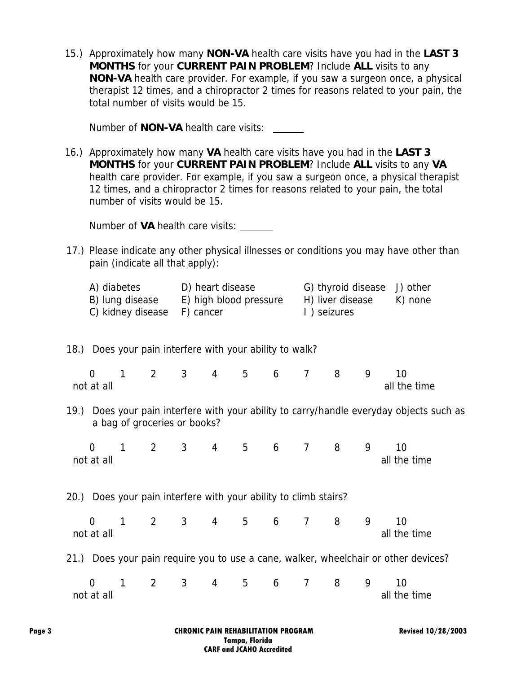15.) Approximately how many **NON-VA** health care visits have you had in the **LAST 3 MONTHS** for your **CURRENT PAIN PROBLEM**? Include **ALL** visits to any **NON-VA** health care provider. For example, if you saw a surgeon once, a physical therapist 12 times, and a chiropractor 2 times for reasons related to your pain, the total number of visits would be 15.

Number of **NON-VA** health care visits:

16.) Approximately how many **VA** health care visits have you had in the **LAST 3 MONTHS** for your **CURRENT PAIN PROBLEM**? Include **ALL** visits to any **VA** health care provider. For example, if you saw a surgeon once, a physical therapist 12 times, and a chiropractor 2 times for reasons related to your pain, the total number of visits would be 15.

Number of **VA** health care visits:

17.) Please indicate any other physical illnesses or conditions you may have other than pain (indicate all that apply):

| A) diabetes                 | D) heart disease       | G) thyroid disease J) other |         |
|-----------------------------|------------------------|-----------------------------|---------|
| B) lung disease             | E) high blood pressure | H) liver disease            | K) none |
| C) kidney disease F) cancer |                        | 1) seizures                 |         |

## 18.) Does your pain interfere with your ability to walk?

|            |  |  |  |  | 0 1 2 3 4 5 6 7 8 9 10 |
|------------|--|--|--|--|------------------------|
| not at all |  |  |  |  | all the time           |

19.) Does your pain interfere with your ability to carry/handle everyday objects such as a bag of groceries or books?

 0 1 2 3 4 5 6 7 8 9 10 not at all all all all all the time and the time and the time all the time and the time

20.) Does your pain interfere with your ability to climb stairs?

|            |  |  |  |  | 0 1 2 3 4 5 6 7 8 9 10 |
|------------|--|--|--|--|------------------------|
| not at all |  |  |  |  | all the time           |

21.) Does your pain require you to use a cane, walker, wheelchair or other devices?

|            |  |  |  |  |  | 0 1 2 3 4 5 6 7 8 9 10 |
|------------|--|--|--|--|--|------------------------|
| not at all |  |  |  |  |  | all the time           |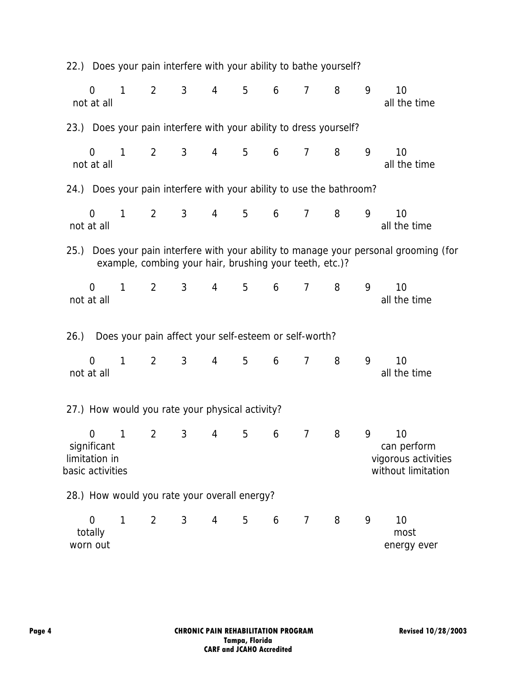|     |                                                                    |              | 22.) Does your pain interfere with your ability to bathe yourself?   |                |                |   |   |                |   |   |                                                                                       |
|-----|--------------------------------------------------------------------|--------------|----------------------------------------------------------------------|----------------|----------------|---|---|----------------|---|---|---------------------------------------------------------------------------------------|
|     | $\Omega$<br>not at all                                             | $\mathbf{1}$ | $\overline{2}$                                                       | $\mathbf{3}$   | $\overline{4}$ | 5 | 6 | $\overline{7}$ | 8 | 9 | 10<br>all the time                                                                    |
|     |                                                                    |              | 23.) Does your pain interfere with your ability to dress yourself?   |                |                |   |   |                |   |   |                                                                                       |
|     | $\overline{0}$<br>not at all                                       | 1            | $\overline{2}$                                                       | 3              | 4              | 5 | 6 | $\overline{7}$ | 8 | 9 | 10<br>all the time                                                                    |
|     |                                                                    |              | 24.) Does your pain interfere with your ability to use the bathroom? |                |                |   |   |                |   |   |                                                                                       |
|     | $\Omega$<br>not at all                                             | $\mathbf{1}$ | $\overline{2}$                                                       | 3 <sup>1</sup> | 4              | 5 | 6 | $\overline{7}$ | 8 | 9 | 10<br>all the time                                                                    |
|     |                                                                    |              | example, combing your hair, brushing your teeth, etc.)?              |                |                |   |   |                |   |   | 25.) Does your pain interfere with your ability to manage your personal grooming (for |
|     | $\overline{0}$<br>not at all                                       | $\mathbf{1}$ | $2^{\circ}$                                                          | 3              | 4              | 5 | 6 | $\overline{7}$ | 8 | 9 | 10<br>all the time                                                                    |
| 26. |                                                                    |              | Does your pain affect your self-esteem or self-worth?                |                |                |   |   |                |   |   |                                                                                       |
|     | $\Omega$<br>not at all                                             | $\mathbf{1}$ | $\overline{2}$                                                       | 3 <sup>1</sup> | $\overline{4}$ | 5 | 6 | $\overline{7}$ | 8 | 9 | 10<br>all the time                                                                    |
|     |                                                                    |              | 27.) How would you rate your physical activity?                      |                |                |   |   |                |   |   |                                                                                       |
|     | $\overline{0}$<br>significant<br>limitation in<br>basic activities | 1            | $\overline{2}$                                                       | 3              | 4              | 5 | 6 | 7              | 8 | 9 | 10<br>can perform<br>vigorous activities<br>without limitation                        |
|     |                                                                    |              | 28.) How would you rate your overall energy?                         |                |                |   |   |                |   |   |                                                                                       |
|     | $\overline{0}$<br>totally<br>worn out                              | 1            | $\overline{2}$                                                       | 3 <sup>1</sup> | 4              | 5 | 6 | $\overline{7}$ | 8 | 9 | 10<br>most<br>energy ever                                                             |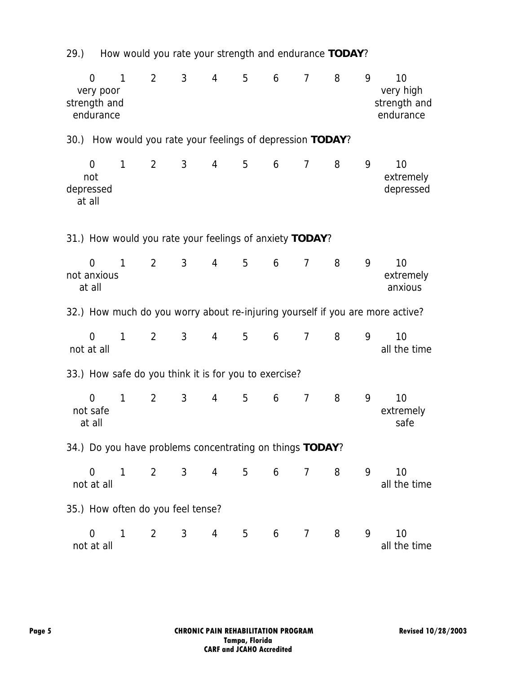0 1 2 3 4 5 6 7 8 9 10 very poor very high strength and strength and strength and strength and strength and strength and strength and strength and strength and strength and strength and strength and strength and strength and strength and strength and strength and s endurance endurance endurance endurance endurance endurance 30.) How would you rate your feelings of depression **TODAY**? 0 1 2 3 4 5 6 7 8 9 10 not extremely depressed depressed at all 31.) How would you rate your feelings of anxiety **TODAY**? 0 1 2 3 4 5 6 7 8 9 10 not anxious extremely at all anxious and anxious and anxious anxious anxious anxious anxious anxious anxious anxious anxious and anxious 32.) How much do you worry about re-injuring yourself if you are more active? 0 1 2 3 4 5 6 7 8 9 10 not at all all all all the time and the time all the time all the time all the time 33.) How safe do you think it is for you to exercise? 0 1 2 3 4 5 6 7 8 9 10 not safe extremely at all safe 34.) Do you have problems concentrating on things **TODAY**? 0 1 2 3 4 5 6 7 8 9 10 not at all all all the time and the time and the time and the time and the time and the time and the time and the time and the time and the time and the time and the time and the time and the time and the time and the time 35.) How often do you feel tense? 0 1 2 3 4 5 6 7 8 9 10 not at all the time and the time and the time and the time and the time and the time and the time

29.) How would you rate your strength and endurance **TODAY**?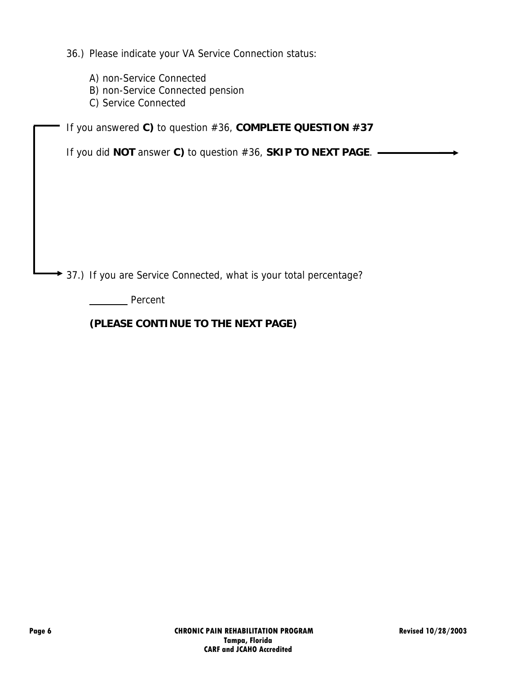36.) Please indicate your VA Service Connection status:

- A) non-Service Connected
- B) non-Service Connected pension
- C) Service Connected

If you answered **C)** to question #36, **COMPLETE QUESTION #37**

If you did **NOT** answer **C)** to question #36, **SKIP TO NEXT PAGE**.

◆ 37.) If you are Service Connected, what is your total percentage?

**Percent** 

## **(PLEASE CONTINUE TO THE NEXT PAGE)**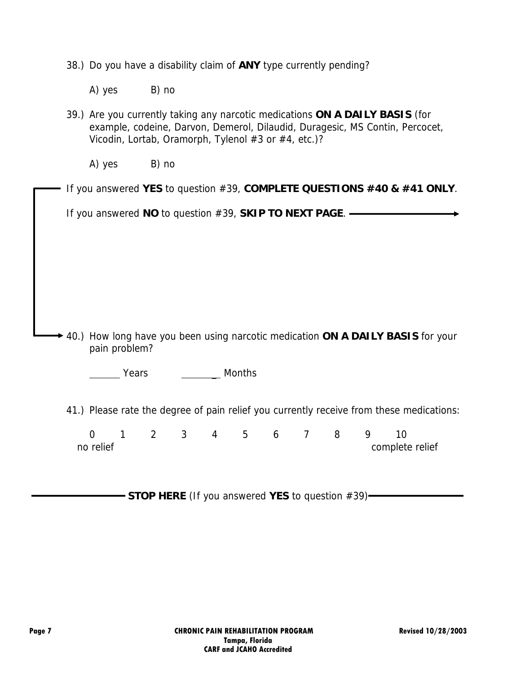|  |  |  |  |  | 38.) Do you have a disability claim of ANY type currently pending? |
|--|--|--|--|--|--------------------------------------------------------------------|
|  |  |  |  |  |                                                                    |
|  |  |  |  |  |                                                                    |

A) yes B) no

| 39.) Are you currently taking any narcotic medications ON A DAILY BASIS (for |
|------------------------------------------------------------------------------|
| example, codeine, Darvon, Demerol, Dilaudid, Duragesic, MS Contin, Percocet, |
| Vicodin, Lortab, Oramorph, Tylenol #3 or #4, etc.)?                          |

A) yes B) no

|  |  | $\Box$ If you answered YES to question #39, COMPLETE QUESTIONS #40 & #41 ONLY. |  |  |  |  |
|--|--|--------------------------------------------------------------------------------|--|--|--|--|
|--|--|--------------------------------------------------------------------------------|--|--|--|--|

If you answered **NO** to question #39, **SKIP TO NEXT PAGE**.

40.) How long have you been using narcotic medication **ON A DAILY BASIS** for your pain problem?

**Nonting Months** Months

41.) Please rate the degree of pain relief you currently receive from these medications:

 0 1 2 3 4 5 6 7 8 9 10 no relief complete relief

**STOP HERE** (If you answered YES to question #39)